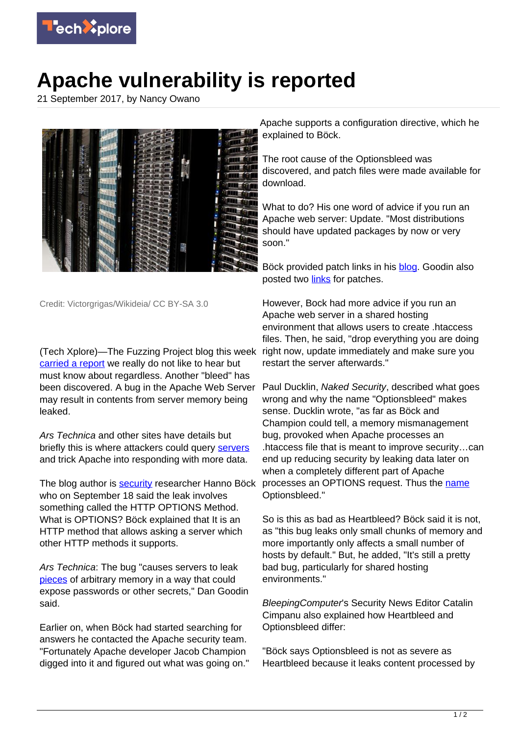

## **Apache vulnerability is reported**

21 September 2017, by Nancy Owano



Credit: Victorgrigas/Wikideia/ CC BY-SA 3.0

(Tech Xplore)—The Fuzzing Project blog this week [carried a report](https://blog.fuzzing-project.org/60-Optionsbleed-HTTP-OPTIONS-method-can-leak-Apaches-server-memory.html) we really do not like to hear but must know about regardless. Another "bleed" has been discovered. A bug in the Apache Web Server may result in contents from server memory being leaked.

Ars Technica and other sites have details but briefly this is where attackers could query [servers](https://techxplore.com/tags/servers/) and trick Apache into responding with more data.

The blog author is [security](https://techxplore.com/tags/security/) researcher Hanno Böck who on September 18 said the leak involves something called the HTTP OPTIONS Method. What is OPTIONS? Böck explained that It is an HTTP method that allows asking a server which other HTTP methods it supports.

Ars Technica: The bug "causes servers to leak [pieces](https://arstechnica.com/information-technology/2017/09/apache-bug-leaks-contents-of-server-memory-for-all-to-see-patch-now/) of arbitrary memory in a way that could expose passwords or other secrets," Dan Goodin said.

Earlier on, when Böck had started searching for answers he contacted the Apache security team. "Fortunately Apache developer Jacob Champion digged into it and figured out what was going on." Apache supports a configuration directive, which he explained to Böck.

The root cause of the Optionsbleed was discovered, and patch files were made available for download.

What to do? His one word of advice if you run an Apache web server: Update. "Most distributions should have updated packages by now or very soon."

Böck provided patch links in his **blog**. Goodin also posted two [links](https://arstechnica.com/information-technology/2017/09/apache-bug-leaks-contents-of-server-memory-for-all-to-see-patch-now/) for patches.

However, Bock had more advice if you run an Apache web server in a shared hosting environment that allows users to create .htaccess files. Then, he said, "drop everything you are doing right now, update immediately and make sure you restart the server afterwards."

Paul Ducklin, Naked Security, described what goes wrong and why the name "Optionsbleed" makes sense. Ducklin wrote, "as far as Böck and Champion could tell, a memory mismanagement bug, provoked when Apache processes an .htaccess file that is meant to improve security…can end up reducing security by leaking data later on when a completely different part of Apache processes an OPTIONS request. Thus the [name](https://nakedsecurity.sophos.com/2017/09/19/apache-optionsbleed-vulnerability-what-you-need-to-know/) Optionsbleed."

So is this as bad as Heartbleed? Böck said it is not, as "this bug leaks only small chunks of memory and more importantly only affects a small number of hosts by default." But, he added, "It's still a pretty bad bug, particularly for shared hosting environments."

BleepingComputer's Security News Editor Catalin Cimpanu also explained how Heartbleed and Optionsbleed differ:

"Böck says Optionsbleed is not as severe as Heartbleed because it leaks content processed by